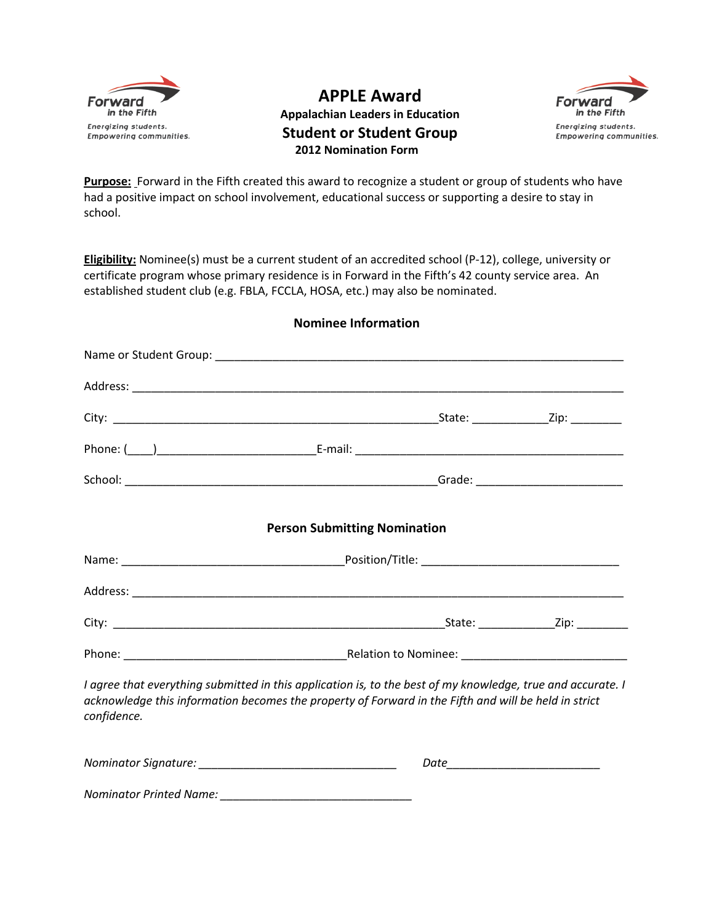

**APPLE Award**



**Appalachian Leaders in Education Student or Student Group 2012 Nomination Form**

**Purpose:** Forward in the Fifth created this award to recognize a student or group of students who have had a positive impact on school involvement, educational success or supporting a desire to stay in school.

**Eligibility:** Nominee(s) must be a current student of an accredited school (P-12), college, university or certificate program whose primary residence is in Forward in the Fifth's 42 county service area. An established student club (e.g. FBLA, FCCLA, HOSA, etc.) may also be nominated.

| <b>Person Submitting Nomination</b>                                                                                                                                                                                                |  |  |
|------------------------------------------------------------------------------------------------------------------------------------------------------------------------------------------------------------------------------------|--|--|
|                                                                                                                                                                                                                                    |  |  |
|                                                                                                                                                                                                                                    |  |  |
|                                                                                                                                                                                                                                    |  |  |
|                                                                                                                                                                                                                                    |  |  |
| I agree that everything submitted in this application is, to the best of my knowledge, true and accurate. I<br>acknowledge this information becomes the property of Forward in the Fifth and will be held in strict<br>confidence. |  |  |
|                                                                                                                                                                                                                                    |  |  |
|                                                                                                                                                                                                                                    |  |  |

**Nominee Information**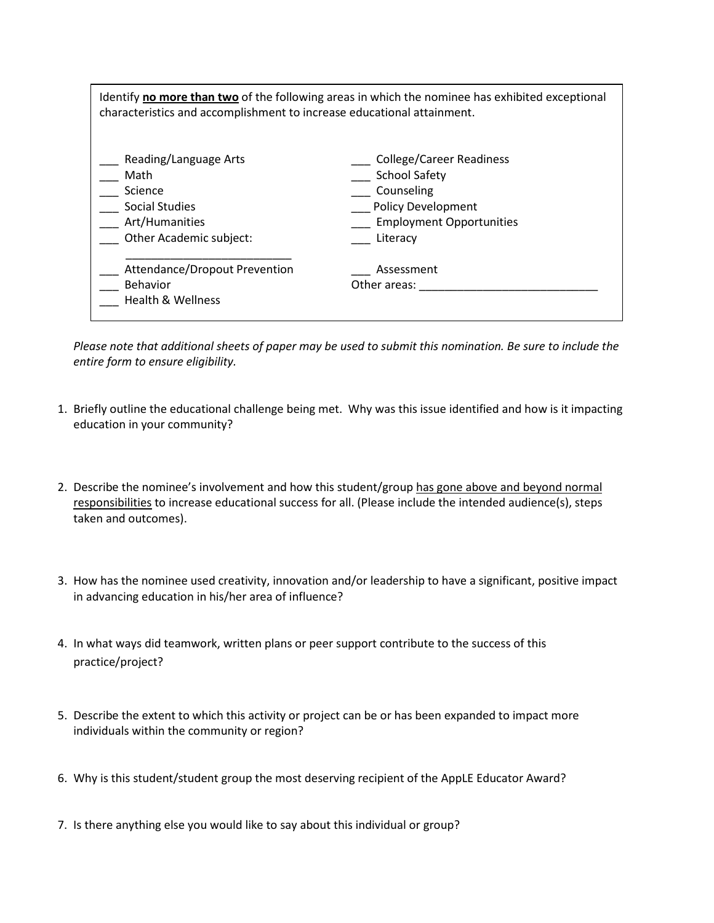| Identify no more than two of the following areas in which the nominee has exhibited exceptional<br>characteristics and accomplishment to increase educational attainment. |                                                                                                                                                   |  |
|---------------------------------------------------------------------------------------------------------------------------------------------------------------------------|---------------------------------------------------------------------------------------------------------------------------------------------------|--|
| Reading/Language Arts<br>Math<br>Science<br><b>Social Studies</b><br>Art/Humanities<br>Other Academic subject:                                                            | <b>College/Career Readiness</b><br><b>School Safety</b><br>Counseling<br><b>Policy Development</b><br><b>Employment Opportunities</b><br>Literacy |  |
| Attendance/Dropout Prevention<br>Behavior<br><b>Health &amp; Wellness</b>                                                                                                 | Assessment<br>Other areas:                                                                                                                        |  |

*Please note that additional sheets of paper may be used to submit this nomination. Be sure to include the entire form to ensure eligibility.* 

- 1. Briefly outline the educational challenge being met. Why was this issue identified and how is it impacting education in your community?
- 2. Describe the nominee's involvement and how this student/group has gone above and beyond normal responsibilities to increase educational success for all. (Please include the intended audience(s), steps taken and outcomes).
- 3. How has the nominee used creativity, innovation and/or leadership to have a significant, positive impact in advancing education in his/her area of influence?
- 4. In what ways did teamwork, written plans or peer support contribute to the success of this practice/project?
- 5. Describe the extent to which this activity or project can be or has been expanded to impact more individuals within the community or region?
- 6. Why is this student/student group the most deserving recipient of the AppLE Educator Award?
- 7. Is there anything else you would like to say about this individual or group?